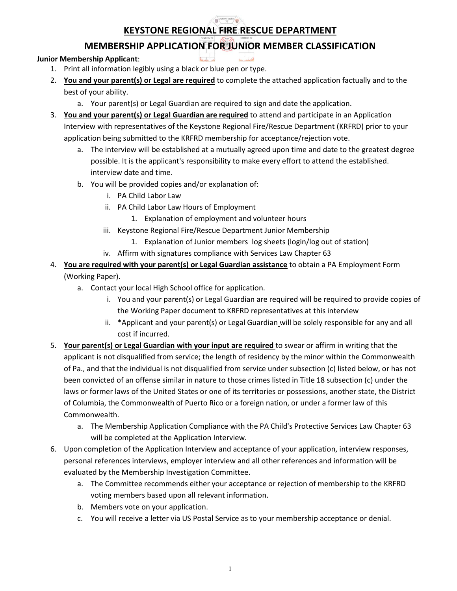### **DEPARTMENT KEYSTONE REGIONAL FIRE RESCUE DEPARTMENT**

# **MEMBERSHIP APPLICATION FOR JUNIOR MEMBER CLASSIFICATION**

## **Junior Membership Applicant**:

- 1. Print all information legibly using a black or blue pen or type.
- 2. **You and your parent(s) or Legal are required** to complete the attached application factually and to the best of your ability.
	- a. Your parent(s) or Legal Guardian are required to sign and date the application.
- 3. **You and your parent(s) or Legal Guardian are required** to attend and participate in an Application Interview with representatives of the Keystone Regional Fire/Rescue Department (KRFRD) prior to your application being submitted to the KRFRD membership for acceptance/rejection vote.
	- a. The interview will be established at a mutually agreed upon time and date to the greatest degree possible. It is the applicant's responsibility to make every effort to attend the established. interview date and time.
	- b. You will be provided copies and/or explanation of:
		- i. PA Child Labor Law
		- ii. PA Child Labor Law Hours of Employment
			- 1. Explanation of employment and volunteer hours
		- iii. Keystone Regional Fire/Rescue Department Junior Membership
			- 1. Explanation of Junior members log sheets (login/log out of station)
		- iv. Affirm with signatures compliance with Services Law Chapter 63
- 4. **You are required with your parent(s) or Legal Guardian assistance** to obtain a PA Employment Form (Working Paper).
	- a. Contact your local High School office for application.
		- i. You and your parent(s) or Legal Guardian are required will be required to provide copies of the Working Paper document to KRFRD representatives at this interview
		- ii. \*Applicant and your parent(s) or Legal Guardian will be solely responsible for any and all cost if incurred.
- 5. **Your parent(s) or Legal Guardian with your input are required** to swear or affirm in writing that the applicant is not disqualified from service; the length of residency by the minor within the Commonwealth of Pa., and that the individual is not disqualified from service under subsection (c) listed below, or has not been convicted of an offense similar in nature to those crimes listed in Title 18 subsection (c) under the laws or former laws of the United States or one of its territories or possessions, another state, the District of Columbia, the Commonwealth of Puerto Rico or a foreign nation, or under a former law of this Commonwealth.
	- a. The Membership Application Compliance with the PA Child's Protective Services Law Chapter 63 will be completed at the Application Interview.
- 6. Upon completion of the Application Interview and acceptance of your application, interview responses, personal references interviews, employer interview and all other references and information will be evaluated by the Membership Investigation Committee.
	- a. The Committee recommends either your acceptance or rejection of membership to the KRFRD voting members based upon all relevant information.
	- b. Members vote on your application.
	- c. You will receive a letter via US Postal Service as to your membership acceptance or denial.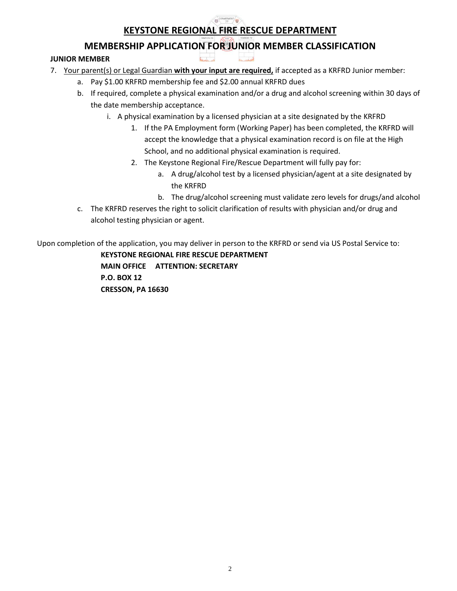### DEPARTMENT **KEYSTONE REGIONAL FIRE RESCUE DEPARTMENT**

**MEMBERSHIP APPLICATION FOR JUNIOR MEMBER CLASSIFICATION**

## **JUNIOR MEMBER**

- 7. Your parent(s) or Legal Guardian **with your input are required,** if accepted as a KRFRD Junior member:
	- a. Pay \$1.00 KRFRD membership fee and \$2.00 annual KRFRD dues
	- b. If required, complete a physical examination and/or a drug and alcohol screening within 30 days of the date membership acceptance.
		- i. A physical examination by a licensed physician at a site designated by the KRFRD
			- 1. If the PA Employment form (Working Paper) has been completed, the KRFRD will accept the knowledge that a physical examination record is on file at the High School, and no additional physical examination is required.
			- 2. The Keystone Regional Fire/Rescue Department will fully pay for:
				- a. A drug/alcohol test by a licensed physician/agent at a site designated by the KRFRD
				- b. The drug/alcohol screening must validate zero levels for drugs/and alcohol
	- c. The KRFRD reserves the right to solicit clarification of results with physician and/or drug and alcohol testing physician or agent.

Upon completion of the application, you may deliver in person to the KRFRD or send via US Postal Service to:

**KEYSTONE REGIONAL FIRE RESCUE DEPARTMENT MAIN OFFICE ATTENTION: SECRETARY P.O. BOX 12 CRESSON, PA 16630**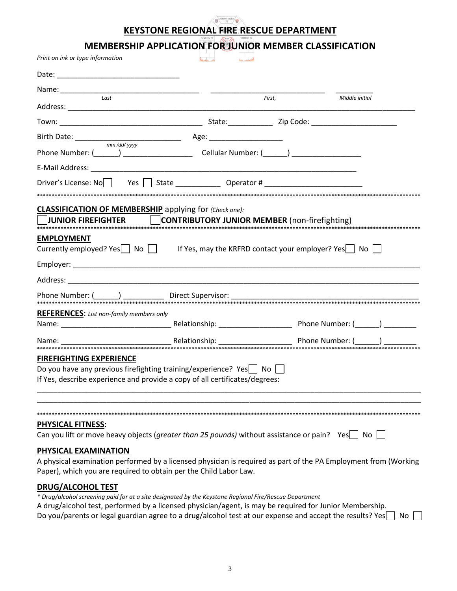#### **DEPARTMENT KEYSTONE REGIONAL FIRE RESCUE DEPARTMENT**

**MEMBERSHIP APPLICATION FOR JUNIOR MEMBER CLASSIFICATION**

| Print on ink or type information                                                                                |        |                |
|-----------------------------------------------------------------------------------------------------------------|--------|----------------|
|                                                                                                                 |        |                |
|                                                                                                                 |        |                |
| Last                                                                                                            | First, | Middle initial |
|                                                                                                                 |        |                |
|                                                                                                                 |        |                |
| Phone Number: (______) ___________________________Cellular Number: (______) ________________________            |        |                |
|                                                                                                                 |        |                |
| Driver's License: No   Yes   State ______________ Operator # ___________________                                |        |                |
|                                                                                                                 |        |                |
| <b>CLASSIFICATION OF MEMBERSHIP</b> applying for (Check one):                                                   |        |                |
| UUNIOR FIREFIGHTER CONTRIBUTORY JUNIOR MEMBER (non-firefighting)                                                |        |                |
| <b>EMPLOYMENT</b>                                                                                               |        |                |
| Currently employed? Yes $\Box$ No $\Box$ If Yes, may the KRFRD contact your employer? Yes $\Box$ No $\Box$      |        |                |
|                                                                                                                 |        |                |
|                                                                                                                 |        |                |
|                                                                                                                 |        |                |
| <b>REFERENCES:</b> List non-family members only                                                                 |        |                |
|                                                                                                                 |        |                |
|                                                                                                                 |        |                |
|                                                                                                                 |        |                |
| <b>FIREFIGHTING EXPERIENCE</b><br>Do you have any previous firefighting training/experience? Yes□ No            |        |                |
| If Yes, describe experience and provide a copy of all certificates/degrees:                                     |        |                |
|                                                                                                                 |        |                |
|                                                                                                                 |        |                |
| <b>PHYSICAL FITNESS:</b>                                                                                        |        |                |
| Can you lift or move heavy objects (greater than 25 pounds) without assistance or pain? Yes $\vert$ No          |        |                |
| PHYSICAL EXAMINATION                                                                                            |        |                |
| A physical examination performed by a licensed physician is required as part of the PA Employment from (Working |        |                |
| Paper), which you are required to obtain per the Child Labor Law.                                               |        |                |
| <b>DRUG/ALCOHOL TEST</b>                                                                                        |        |                |
| * Drug/alcohol screening paid for at a site designated by the Keystone Regional Fire/Rescue Department          |        |                |
| A drug/alcohol test, performed by a licensed physician/agent, is may be required for Junior Membership.         |        |                |

Do you/parents or legal guardian agree to a drug/alcohol test at our expense and accept the results? Yes**\_\_** No